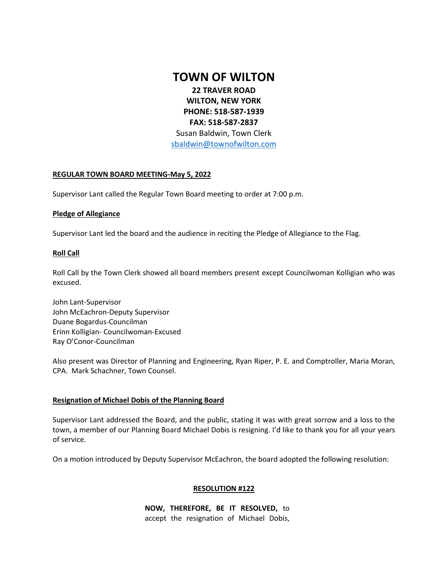## **TOWN OF WILTON**

**22 TRAVER ROAD WILTON, NEW YORK PHONE: 518-587-1939 FAX: 518-587-2837** 

Susan Baldwin, Town Clerk [sbaldwin@townofwilton.com](mailto:sbaldwin@townofwilton.com)

## **REGULAR TOWN BOARD MEETING-May 5, 2022**

Supervisor Lant called the Regular Town Board meeting to order at 7:00 p.m.

## **Pledge of Allegiance**

Supervisor Lant led the board and the audience in reciting the Pledge of Allegiance to the Flag.

## **Roll Call**

Roll Call by the Town Clerk showed all board members present except Councilwoman Kolligian who was excused.

John Lant-Supervisor John McEachron-Deputy Supervisor Duane Bogardus-Councilman Erinn Kolligian- Councilwoman-Excused Ray O'Conor-Councilman

Also present was Director of Planning and Engineering, Ryan Riper, P. E. and Comptroller, Maria Moran, CPA. Mark Schachner, Town Counsel.

## **Resignation of Michael Dobis of the Planning Board**

Supervisor Lant addressed the Board, and the public, stating it was with great sorrow and a loss to the town, a member of our Planning Board Michael Dobis is resigning. I'd like to thank you for all your years of service.

On a motion introduced by Deputy Supervisor McEachron, the board adopted the following resolution:

## **RESOLUTION #122**

**NOW, THEREFORE, BE IT RESOLVED,** to accept the resignation of Michael Dobis,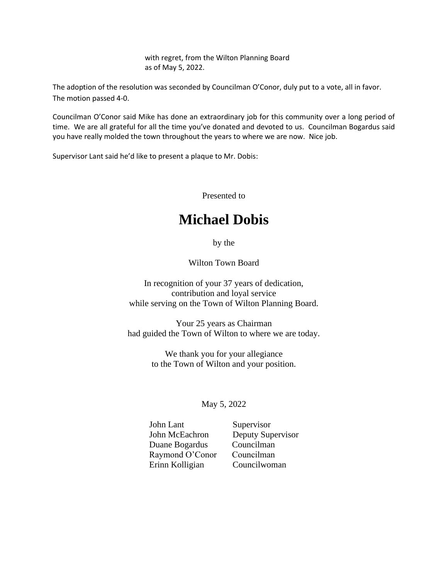with regret, from the Wilton Planning Board as of May 5, 2022.

The adoption of the resolution was seconded by Councilman O'Conor, duly put to a vote, all in favor. The motion passed 4-0.

Councilman O'Conor said Mike has done an extraordinary job for this community over a long period of time. We are all grateful for all the time you've donated and devoted to us. Councilman Bogardus said you have really molded the town throughout the years to where we are now. Nice job.

Supervisor Lant said he'd like to present a plaque to Mr. Dobis:

Presented to

# **Michael Dobis**

by the

Wilton Town Board

In recognition of your 37 years of dedication, contribution and loyal service while serving on the Town of Wilton Planning Board.

Your 25 years as Chairman had guided the Town of Wilton to where we are today.

> We thank you for your allegiance to the Town of Wilton and your position.

## May 5, 2022

John Lant Supervisor Duane Bogardus Councilman Raymond O'Conor Councilman Erinn Kolligian Councilwoman

John McEachron Deputy Supervisor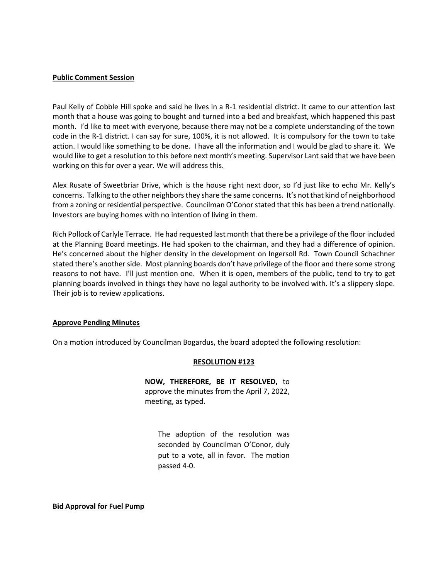#### **Public Comment Session**

Paul Kelly of Cobble Hill spoke and said he lives in a R-1 residential district. It came to our attention last month that a house was going to bought and turned into a bed and breakfast, which happened this past month. I'd like to meet with everyone, because there may not be a complete understanding of the town code in the R-1 district. I can say for sure, 100%, it is not allowed. It is compulsory for the town to take action. I would like something to be done. I have all the information and I would be glad to share it. We would like to get a resolution to this before next month's meeting. Supervisor Lant said that we have been working on this for over a year. We will address this.

Alex Rusate of Sweetbriar Drive, which is the house right next door, so I'd just like to echo Mr. Kelly's concerns. Talking to the other neighbors they share the same concerns. It's not that kind of neighborhood from a zoning or residential perspective. Councilman O'Conor stated that this has been a trend nationally. Investors are buying homes with no intention of living in them.

Rich Pollock of Carlyle Terrace. He had requested last month that there be a privilege of the floor included at the Planning Board meetings. He had spoken to the chairman, and they had a difference of opinion. He's concerned about the higher density in the development on Ingersoll Rd. Town Council Schachner stated there's another side. Most planning boards don't have privilege of the floor and there some strong reasons to not have. I'll just mention one. When it is open, members of the public, tend to try to get planning boards involved in things they have no legal authority to be involved with. It's a slippery slope. Their job is to review applications.

#### **Approve Pending Minutes**

On a motion introduced by Councilman Bogardus, the board adopted the following resolution:

## **RESOLUTION #123**

**NOW, THEREFORE, BE IT RESOLVED,** to approve the minutes from the April 7, 2022, meeting, as typed.

The adoption of the resolution was seconded by Councilman O'Conor, duly put to a vote, all in favor. The motion passed 4-0.

**Bid Approval for Fuel Pump**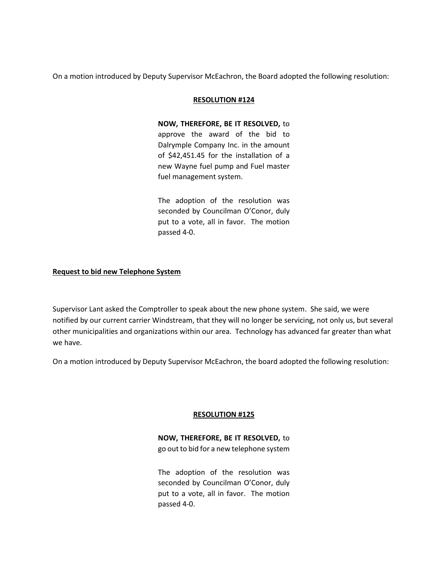On a motion introduced by Deputy Supervisor McEachron, the Board adopted the following resolution:

## **RESOLUTION #124**

**NOW, THEREFORE, BE IT RESOLVED,** to approve the award of the bid to Dalrymple Company Inc. in the amount of \$42,451.45 for the installation of a new Wayne fuel pump and Fuel master fuel management system.

The adoption of the resolution was seconded by Councilman O'Conor, duly put to a vote, all in favor. The motion passed 4-0.

## **Request to bid new Telephone System**

Supervisor Lant asked the Comptroller to speak about the new phone system. She said, we were notified by our current carrier Windstream, that they will no longer be servicing, not only us, but several other municipalities and organizations within our area. Technology has advanced far greater than what we have.

On a motion introduced by Deputy Supervisor McEachron, the board adopted the following resolution:

## **RESOLUTION #125**

**NOW, THEREFORE, BE IT RESOLVED,** to go out to bid for a new telephone system

The adoption of the resolution was seconded by Councilman O'Conor, duly put to a vote, all in favor. The motion passed 4-0.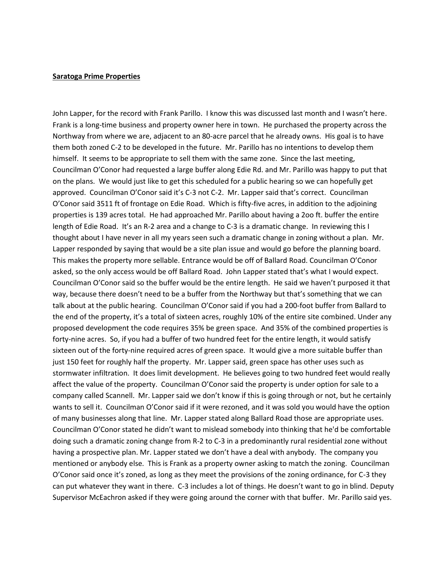#### **Saratoga Prime Properties**

John Lapper, for the record with Frank Parillo. I know this was discussed last month and I wasn't here. Frank is a long-time business and property owner here in town. He purchased the property across the Northway from where we are, adjacent to an 80-acre parcel that he already owns. His goal is to have them both zoned C-2 to be developed in the future. Mr. Parillo has no intentions to develop them himself. It seems to be appropriate to sell them with the same zone. Since the last meeting, Councilman O'Conor had requested a large buffer along Edie Rd. and Mr. Parillo was happy to put that on the plans. We would just like to get this scheduled for a public hearing so we can hopefully get approved. Councilman O'Conor said it's C-3 not C-2. Mr. Lapper said that's correct. Councilman O'Conor said 3511 ft of frontage on Edie Road. Which is fifty-five acres, in addition to the adjoining properties is 139 acres total. He had approached Mr. Parillo about having a 2oo ft. buffer the entire length of Edie Road. It's an R-2 area and a change to C-3 is a dramatic change. In reviewing this I thought about I have never in all my years seen such a dramatic change in zoning without a plan. Mr. Lapper responded by saying that would be a site plan issue and would go before the planning board. This makes the property more sellable. Entrance would be off of Ballard Road. Councilman O'Conor asked, so the only access would be off Ballard Road. John Lapper stated that's what I would expect. Councilman O'Conor said so the buffer would be the entire length. He said we haven't purposed it that way, because there doesn't need to be a buffer from the Northway but that's something that we can talk about at the public hearing. Councilman O'Conor said if you had a 200-foot buffer from Ballard to the end of the property, it's a total of sixteen acres, roughly 10% of the entire site combined. Under any proposed development the code requires 35% be green space. And 35% of the combined properties is forty-nine acres. So, if you had a buffer of two hundred feet for the entire length, it would satisfy sixteen out of the forty-nine required acres of green space. It would give a more suitable buffer than just 150 feet for roughly half the property. Mr. Lapper said, green space has other uses such as stormwater infiltration. It does limit development. He believes going to two hundred feet would really affect the value of the property. Councilman O'Conor said the property is under option for sale to a company called Scannell. Mr. Lapper said we don't know if this is going through or not, but he certainly wants to sell it. Councilman O'Conor said if it were rezoned, and it was sold you would have the option of many businesses along that line. Mr. Lapper stated along Ballard Road those are appropriate uses. Councilman O'Conor stated he didn't want to mislead somebody into thinking that he'd be comfortable doing such a dramatic zoning change from R-2 to C-3 in a predominantly rural residential zone without having a prospective plan. Mr. Lapper stated we don't have a deal with anybody. The company you mentioned or anybody else. This is Frank as a property owner asking to match the zoning. Councilman O'Conor said once it's zoned, as long as they meet the provisions of the zoning ordinance, for C-3 they can put whatever they want in there. C-3 includes a lot of things. He doesn't want to go in blind. Deputy Supervisor McEachron asked if they were going around the corner with that buffer. Mr. Parillo said yes.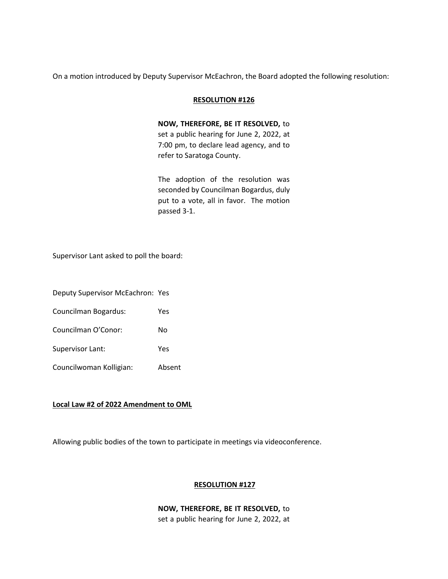On a motion introduced by Deputy Supervisor McEachron, the Board adopted the following resolution:

### **RESOLUTION #126**

**NOW, THEREFORE, BE IT RESOLVED,** to set a public hearing for June 2, 2022, at 7:00 pm, to declare lead agency, and to refer to Saratoga County.

The adoption of the resolution was seconded by Councilman Bogardus, duly put to a vote, all in favor. The motion passed 3-1.

Supervisor Lant asked to poll the board:

Deputy Supervisor McEachron: Yes

Councilman Bogardus: Yes

Councilman O'Conor: No

Supervisor Lant: Yes

Councilwoman Kolligian: Absent

#### **Local Law #2 of 2022 Amendment to OML**

Allowing public bodies of the town to participate in meetings via videoconference.

## **RESOLUTION #127**

## **NOW, THEREFORE, BE IT RESOLVED,** to

set a public hearing for June 2, 2022, at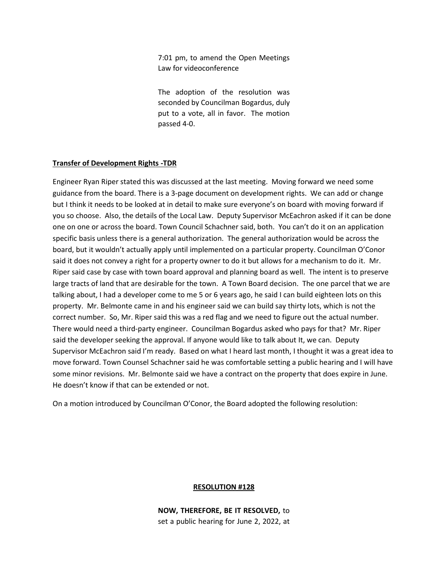7:01 pm, to amend the Open Meetings Law for videoconference

The adoption of the resolution was seconded by Councilman Bogardus, duly put to a vote, all in favor. The motion passed 4-0.

### **Transfer of Development Rights -TDR**

Engineer Ryan Riper stated this was discussed at the last meeting. Moving forward we need some guidance from the board. There is a 3-page document on development rights. We can add or change but I think it needs to be looked at in detail to make sure everyone's on board with moving forward if you so choose. Also, the details of the Local Law. Deputy Supervisor McEachron asked if it can be done one on one or across the board. Town Council Schachner said, both. You can't do it on an application specific basis unless there is a general authorization. The general authorization would be across the board, but it wouldn't actually apply until implemented on a particular property. Councilman O'Conor said it does not convey a right for a property owner to do it but allows for a mechanism to do it. Mr. Riper said case by case with town board approval and planning board as well. The intent is to preserve large tracts of land that are desirable for the town. A Town Board decision. The one parcel that we are talking about, I had a developer come to me 5 or 6 years ago, he said I can build eighteen lots on this property. Mr. Belmonte came in and his engineer said we can build say thirty lots, which is not the correct number. So, Mr. Riper said this was a red flag and we need to figure out the actual number. There would need a third-party engineer. Councilman Bogardus asked who pays for that? Mr. Riper said the developer seeking the approval. If anyone would like to talk about It, we can. Deputy Supervisor McEachron said I'm ready. Based on what I heard last month, I thought it was a great idea to move forward. Town Counsel Schachner said he was comfortable setting a public hearing and I will have some minor revisions. Mr. Belmonte said we have a contract on the property that does expire in June. He doesn't know if that can be extended or not.

On a motion introduced by Councilman O'Conor, the Board adopted the following resolution:

#### **RESOLUTION #128**

**NOW, THEREFORE, BE IT RESOLVED,** to set a public hearing for June 2, 2022, at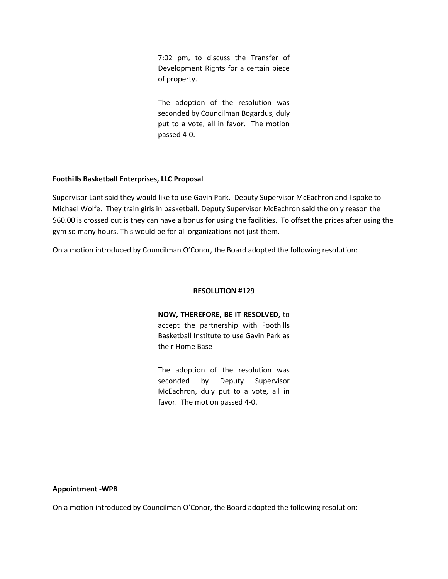7:02 pm, to discuss the Transfer of Development Rights for a certain piece of property.

The adoption of the resolution was seconded by Councilman Bogardus, duly put to a vote, all in favor. The motion passed 4-0.

## **Foothills Basketball Enterprises, LLC Proposal**

Supervisor Lant said they would like to use Gavin Park. Deputy Supervisor McEachron and I spoke to Michael Wolfe. They train girls in basketball. Deputy Supervisor McEachron said the only reason the \$60.00 is crossed out is they can have a bonus for using the facilities. To offset the prices after using the gym so many hours. This would be for all organizations not just them.

On a motion introduced by Councilman O'Conor, the Board adopted the following resolution:

## **RESOLUTION #129**

**NOW, THEREFORE, BE IT RESOLVED,** to accept the partnership with Foothills Basketball Institute to use Gavin Park as their Home Base

The adoption of the resolution was seconded by Deputy Supervisor McEachron, duly put to a vote, all in favor. The motion passed 4-0.

#### **Appointment -WPB**

On a motion introduced by Councilman O'Conor, the Board adopted the following resolution: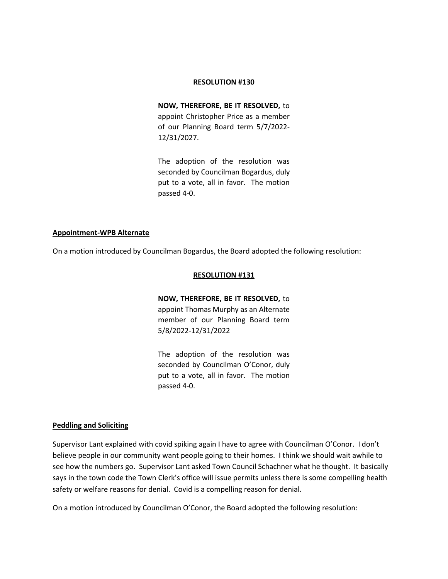#### **RESOLUTION #130**

**NOW, THEREFORE, BE IT RESOLVED,** to appoint Christopher Price as a member of our Planning Board term 5/7/2022- 12/31/2027.

The adoption of the resolution was seconded by Councilman Bogardus, duly put to a vote, all in favor. The motion passed 4-0.

#### **Appointment-WPB Alternate**

On a motion introduced by Councilman Bogardus, the Board adopted the following resolution:

#### **RESOLUTION #131**

**NOW, THEREFORE, BE IT RESOLVED,** to appoint Thomas Murphy as an Alternate member of our Planning Board term 5/8/2022-12/31/2022

The adoption of the resolution was seconded by Councilman O'Conor, duly put to a vote, all in favor. The motion passed 4-0.

#### **Peddling and Soliciting**

Supervisor Lant explained with covid spiking again I have to agree with Councilman O'Conor. I don't believe people in our community want people going to their homes. I think we should wait awhile to see how the numbers go. Supervisor Lant asked Town Council Schachner what he thought. It basically says in the town code the Town Clerk's office will issue permits unless there is some compelling health safety or welfare reasons for denial. Covid is a compelling reason for denial.

On a motion introduced by Councilman O'Conor, the Board adopted the following resolution: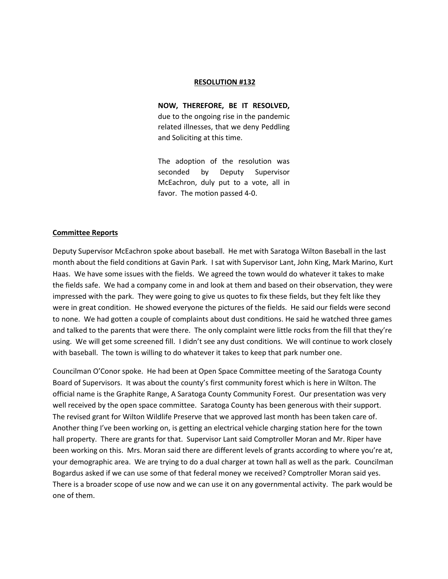#### **RESOLUTION #132**

**NOW, THEREFORE, BE IT RESOLVED,** due to the ongoing rise in the pandemic related illnesses, that we deny Peddling and Soliciting at this time.

The adoption of the resolution was seconded by Deputy Supervisor McEachron, duly put to a vote, all in favor. The motion passed 4-0.

#### **Committee Reports**

Deputy Supervisor McEachron spoke about baseball. He met with Saratoga Wilton Baseball in the last month about the field conditions at Gavin Park. I sat with Supervisor Lant, John King, Mark Marino, Kurt Haas. We have some issues with the fields. We agreed the town would do whatever it takes to make the fields safe. We had a company come in and look at them and based on their observation, they were impressed with the park. They were going to give us quotes to fix these fields, but they felt like they were in great condition. He showed everyone the pictures of the fields. He said our fields were second to none. We had gotten a couple of complaints about dust conditions. He said he watched three games and talked to the parents that were there. The only complaint were little rocks from the fill that they're using. We will get some screened fill. I didn't see any dust conditions. We will continue to work closely with baseball. The town is willing to do whatever it takes to keep that park number one.

Councilman O'Conor spoke. He had been at Open Space Committee meeting of the Saratoga County Board of Supervisors. It was about the county's first community forest which is here in Wilton. The official name is the Graphite Range, A Saratoga County Community Forest. Our presentation was very well received by the open space committee. Saratoga County has been generous with their support. The revised grant for Wilton Wildlife Preserve that we approved last month has been taken care of. Another thing I've been working on, is getting an electrical vehicle charging station here for the town hall property. There are grants for that. Supervisor Lant said Comptroller Moran and Mr. Riper have been working on this. Mrs. Moran said there are different levels of grants according to where you're at, your demographic area. We are trying to do a dual charger at town hall as well as the park. Councilman Bogardus asked if we can use some of that federal money we received? Comptroller Moran said yes. There is a broader scope of use now and we can use it on any governmental activity. The park would be one of them.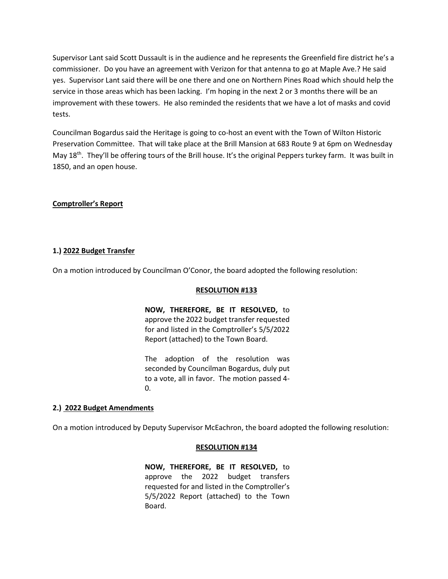Supervisor Lant said Scott Dussault is in the audience and he represents the Greenfield fire district he's a commissioner. Do you have an agreement with Verizon for that antenna to go at Maple Ave.? He said yes. Supervisor Lant said there will be one there and one on Northern Pines Road which should help the service in those areas which has been lacking. I'm hoping in the next 2 or 3 months there will be an improvement with these towers. He also reminded the residents that we have a lot of masks and covid tests.

Councilman Bogardus said the Heritage is going to co-host an event with the Town of Wilton Historic Preservation Committee. That will take place at the Brill Mansion at 683 Route 9 at 6pm on Wednesday May 18<sup>th</sup>. They'll be offering tours of the Brill house. It's the original Peppers turkey farm. It was built in 1850, and an open house.

## **Comptroller's Report**

#### **1.) 2022 Budget Transfer**

On a motion introduced by Councilman O'Conor, the board adopted the following resolution:

#### **RESOLUTION #133**

**NOW, THEREFORE, BE IT RESOLVED,** to approve the 2022 budget transfer requested for and listed in the Comptroller's 5/5/2022 Report (attached) to the Town Board.

The adoption of the resolution was seconded by Councilman Bogardus, duly put to a vote, all in favor. The motion passed 4-  $\Omega$ .

#### **2.) 2022 Budget Amendments**

On a motion introduced by Deputy Supervisor McEachron, the board adopted the following resolution:

#### **RESOLUTION #134**

**NOW, THEREFORE, BE IT RESOLVED,** to approve the 2022 budget transfers requested for and listed in the Comptroller's 5/5/2022 Report (attached) to the Town Board.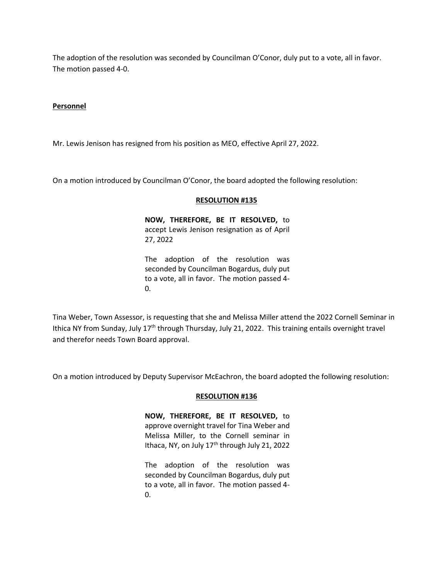The adoption of the resolution was seconded by Councilman O'Conor, duly put to a vote, all in favor. The motion passed 4-0.

## **Personnel**

Mr. Lewis Jenison has resigned from his position as MEO, effective April 27, 2022.

On a motion introduced by Councilman O'Conor, the board adopted the following resolution:

#### **RESOLUTION #135**

**NOW, THEREFORE, BE IT RESOLVED,** to accept Lewis Jenison resignation as of April 27, 2022

The adoption of the resolution was seconded by Councilman Bogardus, duly put to a vote, all in favor. The motion passed 4- 0.

Tina Weber, Town Assessor, is requesting that she and Melissa Miller attend the 2022 Cornell Seminar in Ithica NY from Sunday, July 17<sup>th</sup> through Thursday, July 21, 2022. This training entails overnight travel and therefor needs Town Board approval.

On a motion introduced by Deputy Supervisor McEachron, the board adopted the following resolution:

#### **RESOLUTION #136**

**NOW, THEREFORE, BE IT RESOLVED,** to approve overnight travel for Tina Weber and Melissa Miller, to the Cornell seminar in Ithaca, NY, on July 17<sup>th</sup> through July 21, 2022

The adoption of the resolution was seconded by Councilman Bogardus, duly put to a vote, all in favor. The motion passed 4- 0.